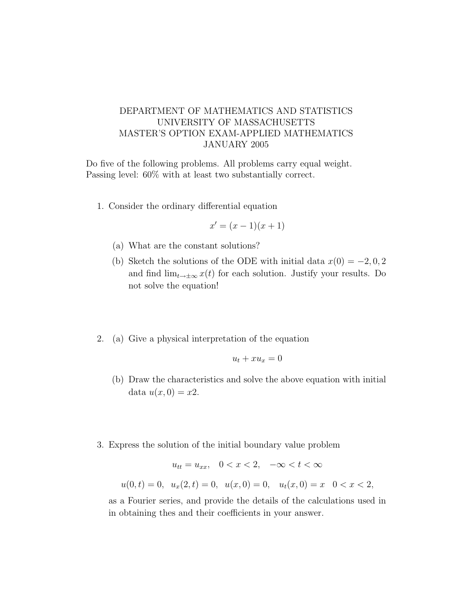## DEPARTMENT OF MATHEMATICS AND STATISTICS UNIVERSITY OF MASSACHUSETTS MASTER'S OPTION EXAM-APPLIED MATHEMATICS JANUARY 2005

Do five of the following problems. All problems carry equal weight. Passing level: 60% with at least two substantially correct.

1. Consider the ordinary differential equation

$$
x' = (x-1)(x+1)
$$

- (a) What are the constant solutions?
- (b) Sketch the solutions of the ODE with initial data  $x(0) = -2, 0, 2$ and find  $\lim_{t\to\pm\infty} x(t)$  for each solution. Justify your results. Do not solve the equation!
- 2. (a) Give a physical interpretation of the equation

$$
u_t + x u_x = 0
$$

- (b) Draw the characteristics and solve the above equation with initial data  $u(x, 0) = x2$ .
- 3. Express the solution of the initial boundary value problem

$$
u_{tt} = u_{xx}, \quad 0 < x < 2, \quad -\infty < t < \infty
$$
\n
$$
u(0, t) = 0, \quad u_x(2, t) = 0, \quad u(x, 0) = 0, \quad u_t(x, 0) = x \quad 0 < x < 2
$$

as a Fourier series, and provide the details of the calculations used in in obtaining thes and their coefficients in your answer.